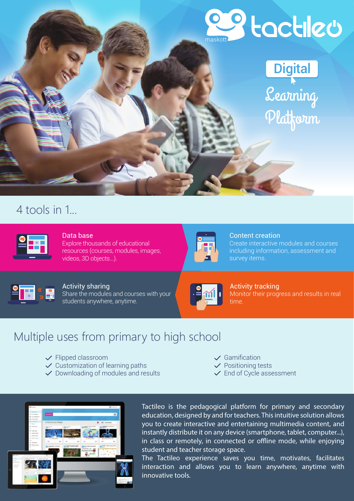

# **Digital**

Learning Platform

# 4 tools in 1...

#### Data base Explore thousands of educational resources (courses, modules, images, videos, 3D objects...).



## Content creation

Create interactive modules and courses including information, assessment and survey items.



### Activity sharing

Share the modules and courses with your students anywhere, anytime.



Activity tracking Monitor their progress and results in real time.

# Multiple uses from primary to high school

- $\checkmark$  Flipped classroom
- $\checkmark$  Customization of learning paths
- $\checkmark$  Downloading of modules and results
- $\checkmark$  Gamification
- $\checkmark$  Positioning tests
- $\checkmark$  End of Cycle assessment



Tactileo is the pedagogical platform for primary and secondary education, designed by and for teachers. This intuitive solution allows you to create interactive and entertaining multimedia content, and instantly distribute it on any device (smartphone, tablet, computer...), in class or remotely, in connected or offline mode, while enjoying student and teacher storage space.

The Tactileo experience saves you time, motivates, facilitates interaction and allows you to learn anywhere, anytime with innovative tools.